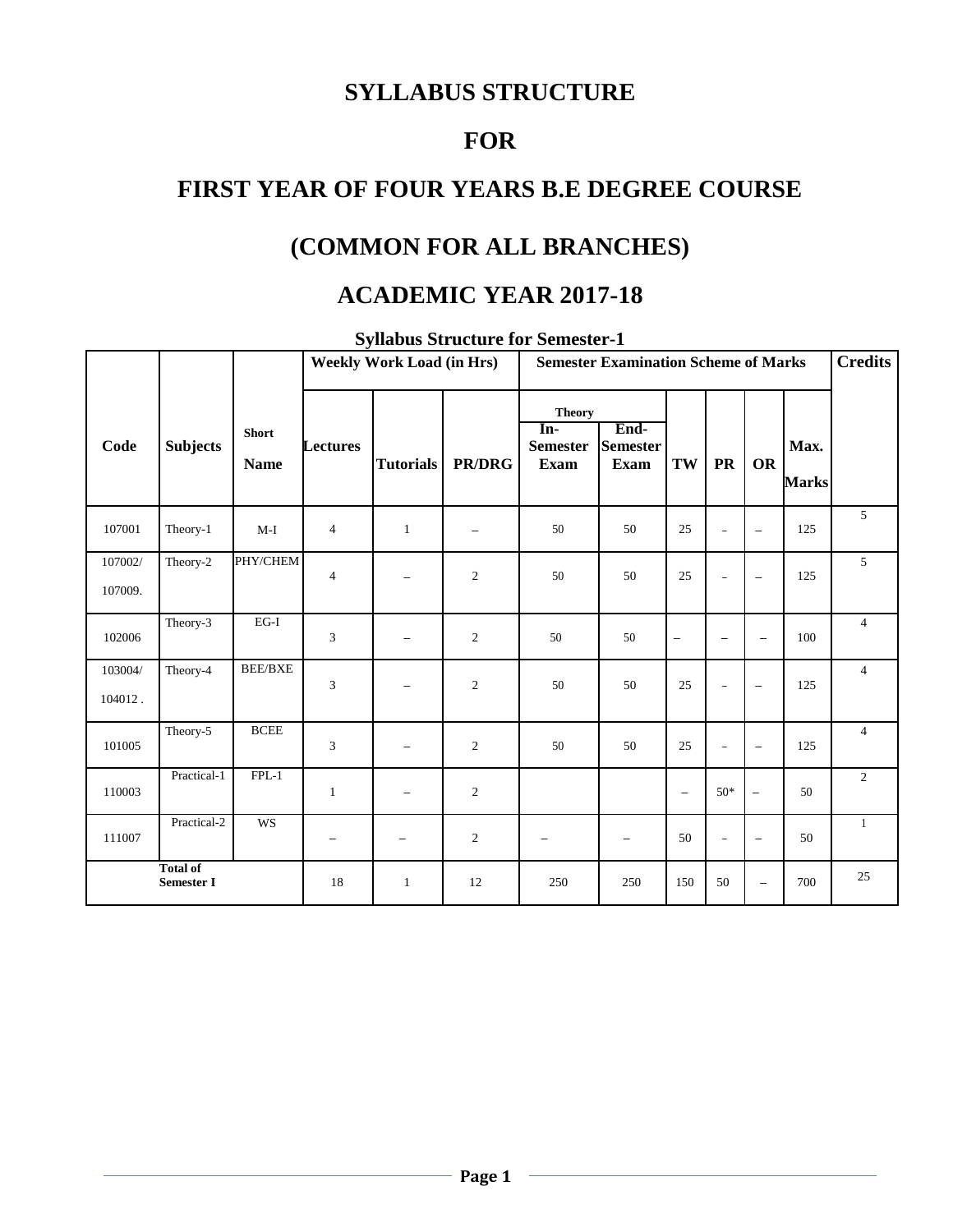# **SYLLABUS STRUCTURE**

# **FOR**

# **FIRST YEAR OF FOUR YEARS B.E DEGREE COURSE**

# **(COMMON FOR ALL BRANCHES)**

### **ACADEMIC YEAR 2017-18**

|                    |                               |                             | <b>Semester Examination Scheme of Marks</b><br><b>Weekly Work Load (in Hrs)</b> |                          |                |                                                 |                                        | <b>Credits</b>           |                          |                          |                      |                |
|--------------------|-------------------------------|-----------------------------|---------------------------------------------------------------------------------|--------------------------|----------------|-------------------------------------------------|----------------------------------------|--------------------------|--------------------------|--------------------------|----------------------|----------------|
| Code               | <b>Subjects</b>               | <b>Short</b><br><b>Name</b> | <b>Lectures</b>                                                                 | <b>Tutorials</b>         | <b>PR/DRG</b>  | <b>Theory</b><br>In-<br><b>Semester</b><br>Exam | End-<br><b>Semester</b><br><b>Exam</b> | TW                       | <b>PR</b>                | <b>OR</b>                | Max.<br><b>Marks</b> |                |
| 107001             | Theory-1                      | $M-I$                       | 4                                                                               | $\mathbf{1}$             |                | 50                                              | 50                                     | 25                       | $\sim$                   | $\overline{\phantom{m}}$ | 125                  | 5              |
| 107002/<br>107009. | Theory-2                      | PHY/CHEM                    | $\overline{4}$                                                                  | $\overline{\phantom{0}}$ | 2              | 50                                              | 50                                     | 25                       | $\overline{\phantom{a}}$ | $\overline{\phantom{m}}$ | 125                  | 5              |
| 102006             | Theory-3                      | $EG-I$                      | 3                                                                               | $\qquad \qquad -$        | 2              | 50                                              | 50                                     | -                        | $\overline{\phantom{0}}$ | $\qquad \qquad -$        | 100                  | $\overline{4}$ |
| 103004/<br>104012. | Theory-4                      | <b>BEE/BXE</b>              | 3                                                                               | -                        | $\overline{2}$ | 50                                              | 50                                     | 25                       | $\overline{\phantom{a}}$ | $\overline{\phantom{m}}$ | 125                  | $\overline{4}$ |
| 101005             | Theory-5                      | <b>BCEE</b>                 | 3                                                                               | $\qquad \qquad -$        | 2              | 50                                              | 50                                     | 25                       | $\qquad \qquad -$        | $\overline{\phantom{m}}$ | 125                  | $\overline{4}$ |
| 110003             | Practical-1                   | $FPL-1$                     | $\mathbf{1}$                                                                    | $\qquad \qquad -$        | 2              |                                                 |                                        | $\overline{\phantom{m}}$ | $50*$                    | $\qquad \qquad -$        | 50                   | $\overline{2}$ |
| 111007             | Practical-2                   | <b>WS</b>                   | -                                                                               | $\overline{\phantom{0}}$ | $\overline{c}$ | -                                               | -                                      | 50                       | $\overline{\phantom{a}}$ | $\overline{\phantom{m}}$ | 50                   | $\mathbf{1}$   |
|                    | <b>Total of</b><br>Semester I |                             | 18                                                                              | $\mathbf{1}$             | 12             | 250                                             | 250                                    | 150                      | 50                       | $\qquad \qquad -$        | 700                  | 25             |

**Syllabus Structure for Semester-1**